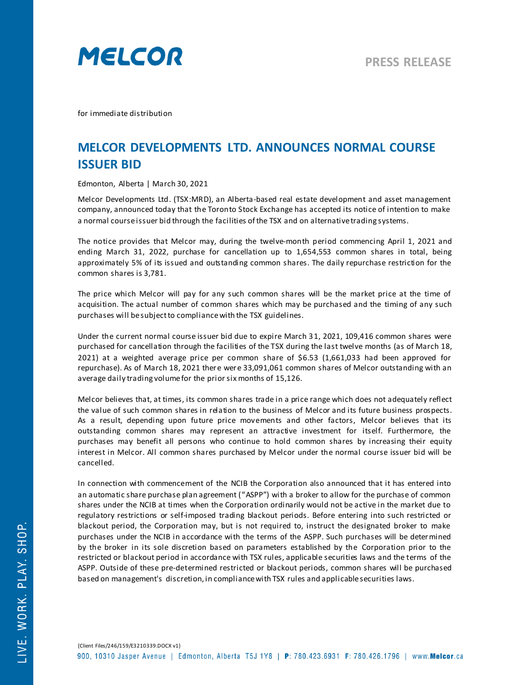

for immediate distribution

## **MELCOR DEVELOPMENTS LTD. ANNOUNCES NORMAL COURSE ISSUER BID**

Edmonton, Alberta | March 30, 2021

Melcor Developments Ltd. (TSX:MRD), an Alberta-based real estate development and asset management company, announced today that the Toronto Stock Exchange has accepted its notice of intention to make a normal course issuer bid through the facilities of the TSX and on alternative trading systems.

The notice provides that Melcor may, during the twelve-month period commencing April 1, 2021 and ending March 31, 2022, purchase for cancellation up to 1,654,553 common shares in total, being approximately 5% of its issued and outstanding common shares. The daily repurchase restriction for the common shares is 3,781.

The price which Melcor will pay for any such common shares will be the market price at the time of acquisition. The actual number of common shares which may be purchased and the timing of any such purchases will be subject to compliance with the TSX guidelines.

Under the current normal course issuer bid due to expire March 31, 2021, 109,416 common shares were purchased for cancellation through the facilities of the TSX during the last twelve months (as of March 18, 2021) at a weighted average price per common share of \$6.53 (1,661,033 had been approved for repurchase). As of March 18, 2021 there were 33,091,061 common shares of Melcor outstanding with an average daily trading volume for the prior six months of 15,126.

Melcor believes that, at times, its common shares trade in a price range which does not adequately reflect the value of such common shares in relation to the business of Melcor and its future business prospects. As a result, depending upon future price movements and other factors, Melcor believes that its outstanding common shares may represent an attractive investment for itself. Furthermore, the purchases may benefit all persons who continue to hold common shares by increasing their equity interest in Melcor. All common shares purchased by Melcor under the normal course issuer bid will be cancelled.

In connection with commencement of the NCIB the Corporation also announced that it has entered into an automatic share purchase plan agreement ("ASPP") with a broker to allow for the purchase of common shares under the NCIB at times when the Corporation ordinarily would not be active in the market due to regulatory restrictions or self-imposed trading blackout periods. Before entering into such restricted or blackout period, the Corporation may, but is not required to, instruct the designated broker to make purchases under the NCIB in accordance with the terms of the ASPP. Such purchases will be determined by the broker in its sole discretion based on parameters established by the Corporation prior to the restricted or blackout period in accordance with TSX rules, applicable securities laws and the terms of the ASPP. Outside of these pre-determined restricted or blackout periods, common shares will be purchased based on management's discretion, in compliance with TSX rules and applicable securities laws.